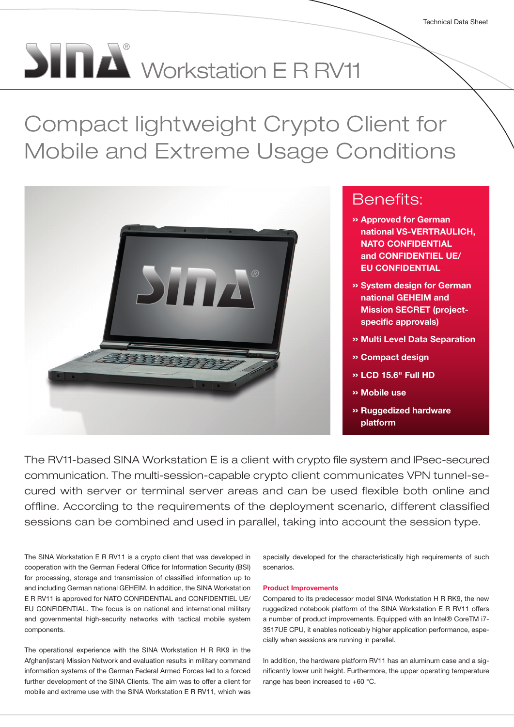# $\begin{picture}(180,10) \put(0,0){\line(1,0){155}} \put(15,0){\line(1,0){155}} \put(15,0){\line(1,0){155}} \put(15,0){\line(1,0){155}} \put(15,0){\line(1,0){155}} \put(15,0){\line(1,0){155}} \put(15,0){\line(1,0){155}} \put(15,0){\line(1,0){155}} \put(15,0){\line(1,0){155}} \put(15,0){\line(1,0){155}} \put(15,0){\line(1,0){155}} \$

Compact lightweight Crypto Client for Mobile and Extreme Usage Conditions



## Benefits:

- » Approved for German national VS-VERTRAULICH, NATO CONFIDENTIAL and CONFIDENTIEL UE/ EU CONFIDENTIAL
- » System design for German national GEHEIM and **Mission SECRET (project**specific approvals)
- » Multi Level Data Separation
- » Compact design
- » LCD 15.6" Full HD
- » Mobile use
- » Ruggedized hardware platform

The RV11-based SINA Workstation E is a client with crypto file system and IPsec-secured communication. The multi-session-capable crypto client communicates VPN tunnel-secured with server or terminal server areas and can be used flexible both online and offline. According to the requirements of the deployment scenario, different classified sessions can be combined and used in parallel, taking into account the session type.

The SINA Workstation E R RV11 is a crypto client that was developed in cooperation with the German Federal Office for Information Security (BSI) for processing, storage and transmission of classified information up to and including German national GEHEIM. In addition, the SINA Workstation E R RV11 is approved for NATO CONFIDENTIAL and CONFIDENTIEL UE/ EU CONFIDENTIAL. The focus is on national and international military and governmental high-security networks with tactical mobile system components.

The operational experience with the SINA Workstation H R RK9 in the Afghan(istan) Mission Network and evaluation results in military command information systems of the German Federal Armed Forces led to a forced further development of the SINA Clients. The aim was to offer a client for mobile and extreme use with the SINA Workstation E R RV11, which was

specially developed for the characteristically high requirements of such scenarios.

#### Product Improvements

Compared to its predecessor model SINA Workstation H R RK9, the new ruggedized notebook platform of the SINA Workstation E R RV11 offers a number of product improvements. Equipped with an Intel® CoreTM i7- 3517UE CPU, it enables noticeably higher application performance, especially when sessions are running in parallel.

In addition, the hardware platform RV11 has an aluminum case and a significantly lower unit height. Furthermore, the upper operating temperature range has been increased to +60 °C.